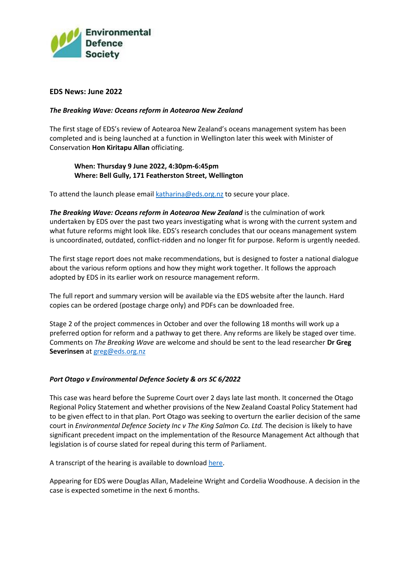

## **EDS News: June 2022**

## *The Breaking Wave: Oceans reform in Aotearoa New Zealand*

The first stage of EDS's review of Aotearoa New Zealand's oceans management system has been completed and is being launched at a function in Wellington later this week with Minister of Conservation **Hon Kiritapu Allan** officiating.

## **When: Thursday 9 June 2022, 4:30pm-6:45pm Where: Bell Gully, 171 Featherston Street, Wellington**

To attend the launch please email [katharina@eds.org.nz](about:blank) to secure your place.

*The Breaking Wave: Oceans reform in Aotearoa New Zealand* is the culmination of work undertaken by EDS over the past two years investigating what is wrong with the current system and what future reforms might look like. EDS's research concludes that our oceans management system is uncoordinated, outdated, conflict-ridden and no longer fit for purpose. Reform is urgently needed.

The first stage report does not make recommendations, but is designed to foster a national dialogue about the various reform options and how they might work together. It follows the approach adopted by EDS in its earlier work on resource management reform.

The full report and summary version will be available via the EDS website after the launch. Hard copies can be ordered (postage charge only) and PDFs can be downloaded free.

Stage 2 of the project commences in October and over the following 18 months will work up a preferred option for reform and a pathway to get there. Any reforms are likely be staged over time. Comments on *The Breaking Wave* are welcome and should be sent to the lead researcher **Dr Greg Severinsen** at [greg@eds.org.nz](about:blank)

# *Port Otago v Environmental Defence Society & ors SC 6/2022*

This case was heard before the Supreme Court over 2 days late last month. It concerned the Otago Regional Policy Statement and whether provisions of the New Zealand Coastal Policy Statement had to be given effect to in that plan. Port Otago was seeking to overturn the earlier decision of the same court in *Environmental Defence Society Inc v The King Salmon Co. Ltd.* The decision is likely to have significant precedent impact on the implementation of the Resource Management Act although that legislation is of course slated for repeal during this term of Parliament.

A transcript of the hearing is available to downloa[d here.](https://www.courtsofnz.govt.nz/assets/cases/Transcripts/NZSC/2022/2022-NZSC-Trans-11-Port-Otago-v-Environmental-Defence-Society-Ors-S.pdf)

Appearing for EDS were Douglas Allan, Madeleine Wright and Cordelia Woodhouse. A decision in the case is expected sometime in the next 6 months.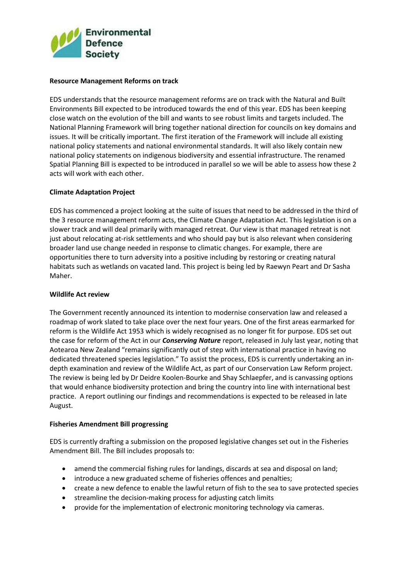

#### **Resource Management Reforms on track**

EDS understands that the resource management reforms are on track with the Natural and Built Environments Bill expected to be introduced towards the end of this year. EDS has been keeping close watch on the evolution of the bill and wants to see robust limits and targets included. The National Planning Framework will bring together national direction for councils on key domains and issues. It will be critically important. The first iteration of the Framework will include all existing national policy statements and national environmental standards. It will also likely contain new national policy statements on indigenous biodiversity and essential infrastructure. The renamed Spatial Planning Bill is expected to be introduced in parallel so we will be able to assess how these 2 acts will work with each other.

## **Climate Adaptation Project**

EDS has commenced a project looking at the suite of issues that need to be addressed in the third of the 3 resource management reform acts, the Climate Change Adaptation Act. This legislation is on a slower track and will deal primarily with managed retreat. Our view is that managed retreat is not just about relocating at-risk settlements and who should pay but is also relevant when considering broader land use change needed in response to climatic changes. For example, there are opportunities there to turn adversity into a positive including by restoring or creating natural habitats such as wetlands on vacated land. This project is being led by Raewyn Peart and Dr Sasha Maher.

#### **Wildlife Act review**

The Government recently announced its intention to modernise conservation law and released a roadmap of work slated to take place over the next four years. One of the first areas earmarked for reform is the Wildlife Act 1953 which is widely recognised as no longer fit for purpose. EDS set out the case for reform of the Act in our *Conserving Nature* report, released in July last year, noting that Aotearoa New Zealand "remains significantly out of step with international practice in having no dedicated threatened species legislation." To assist the process, EDS is currently undertaking an indepth examination and review of the Wildlife Act, as part of our Conservation Law Reform project. The review is being led by Dr Deidre Koolen-Bourke and Shay Schlaepfer, and is canvassing options that would enhance biodiversity protection and bring the country into line with international best practice. A report outlining our findings and recommendations is expected to be released in late August.

#### **Fisheries Amendment Bill progressing**

EDS is currently drafting a submission on the proposed legislative changes set out in the Fisheries Amendment Bill. The Bill includes proposals to:

- amend the commercial fishing rules for landings, discards at sea and disposal on land;
- introduce a new graduated scheme of fisheries offences and penalties;
- create a new defence to enable the lawful return of fish to the sea to save protected species
- streamline the decision-making process for adjusting catch limits
- provide for the implementation of electronic monitoring technology via cameras.